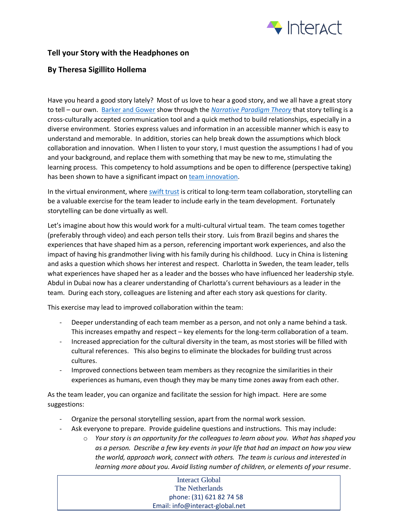

## **Tell your Story with the Headphones on**

## **By Theresa Sigillito Hollema**

Have you heard a good story lately? Most of us love to hear a good story, and we all have a great story to tell – our own. [Barker and Gower](http://journals.sagepub.com/doi/abs/10.1177/0021943610369782) show through the *[Narrative Paradigm Theory](http://journals.sagepub.com/doi/abs/10.1177/0021943610369782)* that story telling is a cross-culturally accepted communication tool and a quick method to build relationships, especially in a diverse environment. Stories express values and information in an accessible manner which is easy to understand and memorable. In addition, stories can help break down the assumptions which block collaboration and innovation. When I listen to your story, I must question the assumptions I had of you and your background, and replace them with something that may be new to me, stimulating the learning process. This competency to hold assumptions and be open to difference (perspective taking) has been shown to have a significant impact on [team innovation.](https://discovery.rsm.nl/articles/detail/92-how-to-boost-creativity-within-diverse-teams/)

In the virtual environment, wher[e swift trust](http://www.interact-global.net/can-your-remote-colleagues-become-a-team/) is critical to long-term team collaboration, storytelling can be a valuable exercise for the team leader to include early in the team development. Fortunately storytelling can be done virtually as well.

Let's imagine about how this would work for a multi-cultural virtual team. The team comes together (preferably through video) and each person tells their story. Luis from Brazil begins and shares the experiences that have shaped him as a person, referencing important work experiences, and also the impact of having his grandmother living with his family during his childhood. Lucy in China is listening and asks a question which shows her interest and respect. Charlotta in Sweden, the team leader, tells what experiences have shaped her as a leader and the bosses who have influenced her leadership style. Abdul in Dubai now has a clearer understanding of Charlotta's current behaviours as a leader in the team. During each story, colleagues are listening and after each story ask questions for clarity.

This exercise may lead to improved collaboration within the team:

- Deeper understanding of each team member as a person, and not only a name behind a task. This increases empathy and respect – key elements for the long-term collaboration of a team.
- Increased appreciation for the cultural diversity in the team, as most stories will be filled with cultural references. This also begins to eliminate the blockades for building trust across cultures.
- Improved connections between team members as they recognize the similarities in their experiences as humans, even though they may be many time zones away from each other.

As the team leader, you can organize and facilitate the session for high impact. Here are some suggestions:

- Organize the personal storytelling session, apart from the normal work session.
- Ask everyone to prepare. Provide guideline questions and instructions. This may include:
	- o *Your story is an opportunity for the colleagues to learn about you. What has shaped you as a person. Describe a few key events in your life that had an impact on how you view the world, approach work, connect with others. The team is curious and interested in learning more about you. Avoid listing number of children, or elements of your resume*.

## Interact Global The Netherlands phone: (31) 621 82 74 58 Email: info@interact-global.net